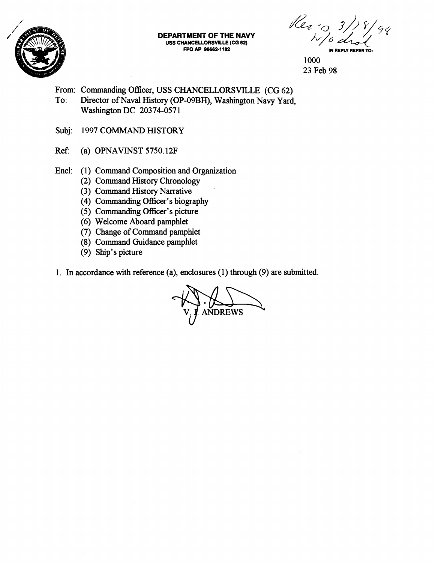

**DEPARTMENT OF THE NAVY USS CHANCELLORSVILE (CG 62) FPO AP 96662-H 82** 

Rer : 0 3/18

- From: Commanding Officer, USS CHANCELLORSVILLE (CG 62)
- To: Director of Naval History (OP-09BH), Washington Navy Yard, Washington DC 20374-057 1
- Subj: 1997 COMMAND HISTORY
- Ref: (a) OPNAVINST  $5750.12F$
- Encl: (1) Command Composition and Organization
	- (2) Command History Chronology
	- (3) Command History Narrative
	- (4) Commanding Officer's biography
	- (5) Commanding Officer's picture
	- (6) Welcome Aboard pamphlet
	- (7) Change of Command pamphlet
	- (8) Command Guidance pamphlet
	- (9) Ship's picture
- 1. In accordance with reference (a), enclosures (1) through (9) are submitted.

ANDREWS

<sup>1000</sup>  23 Feb 98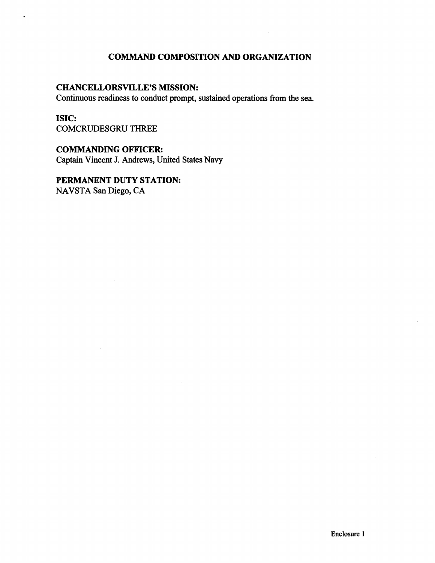# **COMMAND COMPOSITION AND ORGANIZATION**

### **CHANCELLORSVILLE'S MISSION:**

Continuous readiness to conduct prompt, sustained operations fiom the sea.

## **ISIC:**

COMCRUDESGRU THREE

#### **COMMANDING OFFICER:**

Captain Vincent **J.** Andrews, United States Navy

## **PERMANENT DUTY STATION:**

NAVSTA San Diego, CA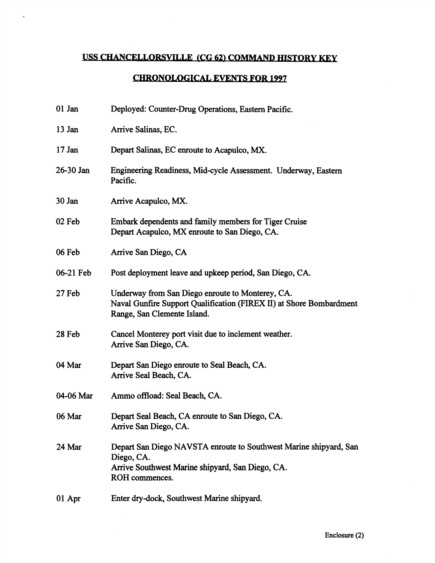# USS CHANCELLORSVILLE (CG 62) COMMAND HISTORY KEY

## **CHRONOLOGICAL EVENTS FOR 1997**

| 01 Jan    | Deployed: Counter-Drug Operations, Eastern Pacific.                                                                                                    |
|-----------|--------------------------------------------------------------------------------------------------------------------------------------------------------|
| $13$ Jan  | Arrive Salinas, EC.                                                                                                                                    |
| $17$ Jan  | Depart Salinas, EC enroute to Acapulco, MX.                                                                                                            |
| 26-30 Jan | Engineering Readiness, Mid-cycle Assessment. Underway, Eastern<br>Pacific.                                                                             |
| 30 Jan    | Arrive Acapulco, MX.                                                                                                                                   |
| 02 Feb    | Embark dependents and family members for Tiger Cruise<br>Depart Acapulco, MX enroute to San Diego, CA.                                                 |
| 06 Feb    | Arrive San Diego, CA                                                                                                                                   |
| 06-21 Feb | Post deployment leave and upkeep period, San Diego, CA.                                                                                                |
| 27 Feb    | Underway from San Diego enroute to Monterey, CA.<br>Naval Gunfire Support Qualification (FIREX II) at Shore Bombardment<br>Range, San Clemente Island. |
| 28 Feb    | Cancel Monterey port visit due to inclement weather.<br>Arrive San Diego, CA.                                                                          |
| 04 Mar    | Depart San Diego enroute to Seal Beach, CA.<br>Arrive Seal Beach, CA.                                                                                  |
| 04-06 Mar | Ammo offload: Seal Beach, CA.                                                                                                                          |
| 06 Mar    | Depart Seal Beach, CA enroute to San Diego, CA.<br>Arrive San Diego, CA.                                                                               |
| 24 Mar    | Depart San Diego NAVSTA enroute to Southwest Marine shipyard, San<br>Diego, CA.<br>Arrive Southwest Marine shipyard, San Diego, CA.<br>ROH commences.  |
| 01 Apr    | Enter dry-dock, Southwest Marine shipyard.                                                                                                             |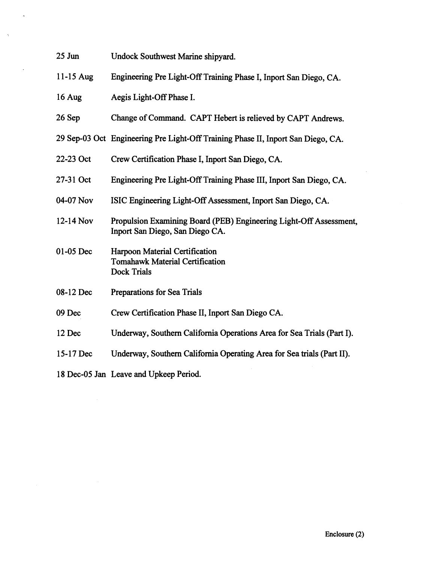| $25$ Jun    | Undock Southwest Marine shipyard.                                                                     |
|-------------|-------------------------------------------------------------------------------------------------------|
| $11-15$ Aug | Engineering Pre Light-Off Training Phase I, Inport San Diego, CA.                                     |
| 16 Aug      | Aegis Light-Off Phase I.                                                                              |
| 26 Sep      | Change of Command. CAPT Hebert is relieved by CAPT Andrews.                                           |
|             | 29 Sep-03 Oct Engineering Pre Light-Off Training Phase II, Inport San Diego, CA.                      |
| 22-23 Oct   | Crew Certification Phase I, Inport San Diego, CA.                                                     |
| 27-31 Oct   | Engineering Pre Light-Off Training Phase III, Inport San Diego, CA.                                   |
| 04-07 Nov   | ISIC Engineering Light-Off Assessment, Inport San Diego, CA.                                          |
| 12-14 Nov   | Propulsion Examining Board (PEB) Engineering Light-Off Assessment,<br>Inport San Diego, San Diego CA. |
| 01-05 Dec   | Harpoon Material Certification<br><b>Tomahawk Material Certification</b><br><b>Dock Trials</b>        |
| 08-12 Dec   | Preparations for Sea Trials                                                                           |
| 09 Dec      | Crew Certification Phase II, Inport San Diego CA.                                                     |
| 12 Dec      | Underway, Southern California Operations Area for Sea Trials (Part I).                                |
| 15-17 Dec   | Underway, Southern California Operating Area for Sea trials (Part II).                                |
|             | 18 Dec-05 Jan Leave and Upkeep Period.                                                                |

 $\hat{\mathcal{A}}$ 

 $\sim 10^7$ 

 $\mathcal{A}^{\text{max}}$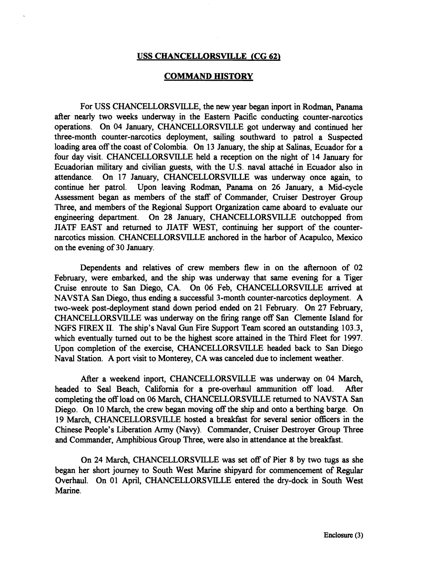#### **USS CHANCELLORSVILLE (CG 62)**

#### **COMMAND HISTORY**

For USS CHANCELLORSVILLE, the new year began inport in Rodman, Panama after nearly two weeks underway in the Eastern Pacific conducting counter-narcotics operations. On 04 January, CHANCELLORSVILLE got underway and continued her three-month counter-narcotics deployment, sailing southward to patrol a Suspected loading area off the coast of Colombia. On 13 January, the ship at Salinas, Ecuador for a four day visit. CHANCELLORSVILLE held a reception on the night of 14 January for Ecuadorian military and civilian guests, with the U.S. naval attache in Ecuador also in attendance. On 17 January, CHANCELLORSVILLE was underway once again, to continue her patrol. Upon leaving Rodman, Panama on 26 January, a Mid-cycle Assessment began as members of the staff of Commander, Cruiser Destroyer Group Three, and members of the Regional Support Organization came aboard to evaluate our engineering department. On 28 January, CHANCELLORSVILLE outchopped fiom JIATF EAST and returned to **JIATF** WEST, continuing her support of the counternarcotics mission. CHANCELLORSVILLE anchored in the harbor of Acapulco, Mexico on the evening of 30 January.

Dependents and relatives of crew members flew in on the afternoon of 02 February, were embarked, and the ship was underway that same evening for a Tiger Cruise enroute to San Diego, CA. On 06 Feb, CHANCELLORSVILLE arrived at NAVSTA San Diego, thus ending a successful 3-month counter-narcotics deployment. A two-week post-deployment stand down period ended on 21 February. On 27 February, CHANCELLORSVILLE was underway on the firing range off San Clemente Island for NGFS FIREX 11. The ship's Naval Gun Fire Support Team scored an outstanding 103.3, which eventually turned out to be the highest score attained in the Third Fleet for 1997. Upon completion of the exercise, CHANCELLORSVILLE headed back to San Diego Naval Station. A port visit to Monterey, CA was canceled due to inclement weather.

After a weekend inport, CHANCELLORSVILLE was underway on 04 March, headed to Seal Beach, California for a pre-overhaul ammunition off load. After completing the off load on 06 March, CHANCELLORSVILLE returned to NAVSTA San Diego. On 10 March, the crew began moving off the ship and onto a berthing barge. On 19 March, CHANCELLORSVILLE hosted a breakfast for several senior officers in the Chinese People's Liberation Army (Navy). Commander, Cruiser Destroyer Group Three and Commander, Amphibious Group Three, were also in attendance at the breakfast.

On 24 March, CHANCELLORSVILLE was set off of Pier 8 by two tugs as she began her short journey to South West Marine shipyard for commencement of Regular Overhaul. On 01 April, CHANCELLORSVILLE entered the dry-dock in South West Marine.